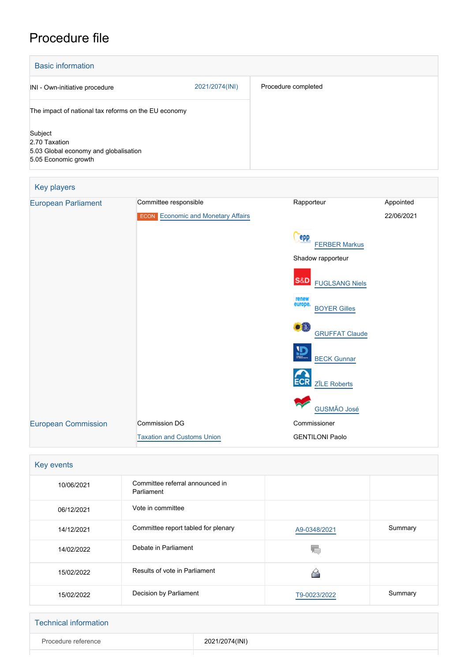# Procedure file

| <b>Basic information</b>                                                                  |                |                     |
|-------------------------------------------------------------------------------------------|----------------|---------------------|
| INI - Own-initiative procedure                                                            | 2021/2074(INI) | Procedure completed |
| The impact of national tax reforms on the EU economy                                      |                |                     |
| Subject<br>2.70 Taxation<br>5.03 Global economy and globalisation<br>5.05 Economic growth |                |                     |

| Key players                |                                                                    |                                                 |                         |
|----------------------------|--------------------------------------------------------------------|-------------------------------------------------|-------------------------|
| <b>European Parliament</b> | Committee responsible<br><b>ECON</b> Economic and Monetary Affairs | Rapporteur                                      | Appointed<br>22/06/2021 |
|                            |                                                                    | epp.<br><b>FERBER Markus</b>                    |                         |
|                            |                                                                    | Shadow rapporteur                               |                         |
|                            |                                                                    | <b>S&amp;D</b><br><b>FUGLSANG Niels</b>         |                         |
|                            |                                                                    | renew<br>europe.<br><b>BOYER Gilles</b>         |                         |
|                            |                                                                    | $\bullet$ <sup>0</sup><br><b>GRUFFAT Claude</b> |                         |
|                            |                                                                    | 盈<br><b>BECK Gunnar</b>                         |                         |
|                            |                                                                    | <b>ECR</b><br><b>ZĪLE Roberts</b>               |                         |
|                            |                                                                    | <b>GUSMÃO José</b>                              |                         |
| <b>European Commission</b> | <b>Commission DG</b>                                               | Commissioner                                    |                         |
|                            | <b>Taxation and Customs Union</b>                                  | <b>GENTILONI Paolo</b>                          |                         |

| Key events |                                               |              |         |
|------------|-----------------------------------------------|--------------|---------|
| 10/06/2021 | Committee referral announced in<br>Parliament |              |         |
| 06/12/2021 | Vote in committee                             |              |         |
| 14/12/2021 | Committee report tabled for plenary           | A9-0348/2021 | Summary |
| 14/02/2022 | Debate in Parliament                          |              |         |
| 15/02/2022 | Results of vote in Parliament                 |              |         |
| 15/02/2022 | Decision by Parliament                        | T9-0023/2022 | Summary |

| <b>Technical information</b> |                |
|------------------------------|----------------|
| Procedure reference          | 2021/2074(INI) |
|                              |                |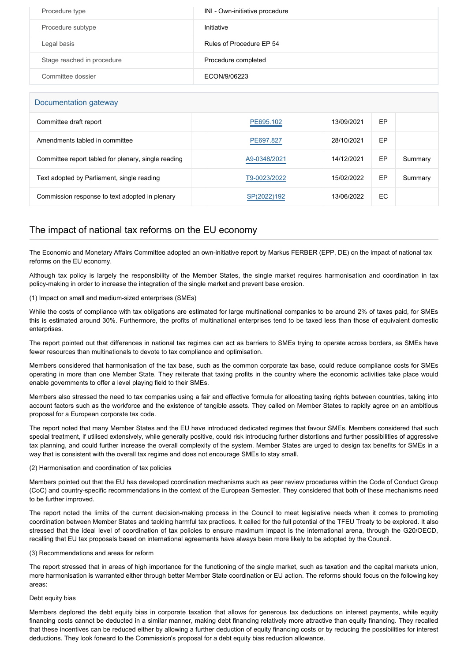| Procedure type             | INI - Own-initiative procedure |
|----------------------------|--------------------------------|
| Procedure subtype          | Initiative                     |
| Legal basis                | Rules of Procedure EP 54       |
| Stage reached in procedure | Procedure completed            |
| Committee dossier          | ECON/9/06223                   |

| Documentation gateway                               |              |            |    |         |
|-----------------------------------------------------|--------------|------------|----|---------|
| Committee draft report                              | PE695.102    | 13/09/2021 | EP |         |
| Amendments tabled in committee                      | PE697.827    | 28/10/2021 | EP |         |
| Committee report tabled for plenary, single reading | A9-0348/2021 | 14/12/2021 | EP | Summary |
| Text adopted by Parliament, single reading          | T9-0023/2022 | 15/02/2022 | EP | Summary |
| Commission response to text adopted in plenary      | SP(2022)192  | 13/06/2022 | EC |         |

# The impact of national tax reforms on the EU economy

The Economic and Monetary Affairs Committee adopted an own-initiative report by Markus FERBER (EPP, DE) on the impact of national tax reforms on the EU economy.

Although tax policy is largely the responsibility of the Member States, the single market requires harmonisation and coordination in tax policy-making in order to increase the integration of the single market and prevent base erosion.

# (1) Impact on small and medium-sized enterprises (SMEs)

While the costs of compliance with tax obligations are estimated for large multinational companies to be around 2% of taxes paid, for SMEs this is estimated around 30%. Furthermore, the profits of multinational enterprises tend to be taxed less than those of equivalent domestic enterprises.

The report pointed out that differences in national tax regimes can act as barriers to SMEs trying to operate across borders, as SMEs have fewer resources than multinationals to devote to tax compliance and optimisation.

Members considered that harmonisation of the tax base, such as the common corporate tax base, could reduce compliance costs for SMEs operating in more than one Member State. They reiterate that taxing profits in the country where the economic activities take place would enable governments to offer a level playing field to their SMEs.

Members also stressed the need to tax companies using a fair and effective formula for allocating taxing rights between countries, taking into account factors such as the workforce and the existence of tangible assets. They called on Member States to rapidly agree on an ambitious proposal for a European corporate tax code.

The report noted that many Member States and the EU have introduced dedicated regimes that favour SMEs. Members considered that such special treatment, if utilised extensively, while generally positive, could risk introducing further distortions and further possibilities of aggressive tax planning, and could further increase the overall complexity of the system. Member States are urged to design tax benefits for SMEs in a way that is consistent with the overall tax regime and does not encourage SMEs to stay small.

# (2) Harmonisation and coordination of tax policies

Members pointed out that the EU has developed coordination mechanisms such as peer review procedures within the Code of Conduct Group (CoC) and country-specific recommendations in the context of the European Semester. They considered that both of these mechanisms need to be further improved.

The report noted the limits of the current decision-making process in the Council to meet legislative needs when it comes to promoting coordination between Member States and tackling harmful tax practices. It called for the full potential of the TFEU Treaty to be explored. It also stressed that the ideal level of coordination of tax policies to ensure maximum impact is the international arena, through the G20/OECD, recalling that EU tax proposals based on international agreements have always been more likely to be adopted by the Council.

#### (3) Recommendations and areas for reform

The report stressed that in areas of high importance for the functioning of the single market, such as taxation and the capital markets union, more harmonisation is warranted either through better Member State coordination or EU action. The reforms should focus on the following key areas:

# Debt equity bias

Members deplored the debt equity bias in corporate taxation that allows for generous tax deductions on interest payments, while equity financing costs cannot be deducted in a similar manner, making debt financing relatively more attractive than equity financing. They recalled that these incentives can be reduced either by allowing a further deduction of equity financing costs or by reducing the possibilities for interest deductions. They look forward to the Commission's proposal for a debt equity bias reduction allowance.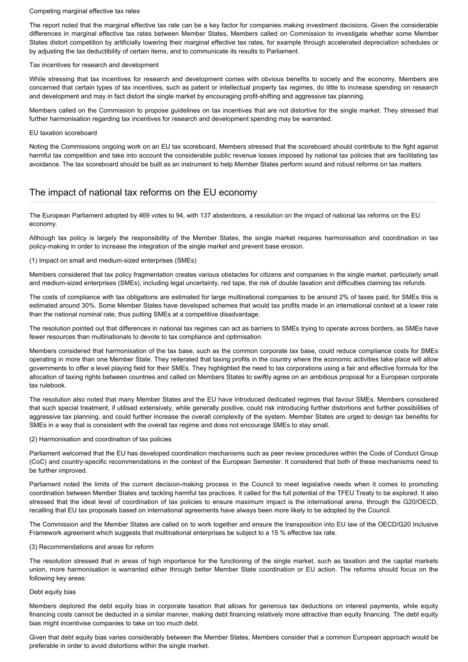#### Competing marginal effective tax rates

The report noted that the marginal effective tax rate can be a key factor for companies making investment decisions. Given the considerable differences in marginal effective tax rates between Member States, Members called on Commission to investigate whether some Member States distort competition by artificially lowering their marginal effective tax rates, for example through accelerated depreciation schedules or by adjusting the tax deductibility of certain items, and to communicate its results to Parliament.

#### Tax incentives for research and development

While stressing that tax incentives for research and development comes with obvious benefits to society and the economy, Members are concerned that certain types of tax incentives, such as patent or intellectual property tax regimes, do little to increase spending on research and development and may in fact distort the single market by encouraging profit-shifting and aggressive tax planning.

Members called on the Commission to propose guidelines on tax incentives that are not distortive for the single market. They stressed that further harmonisation regarding tax incentives for research and development spending may be warranted.

## EU taxation scoreboard

Noting the Commissions ongoing work on an EU tax scoreboard, Members stressed that the scoreboard should contribute to the fight against harmful tax competition and take into account the considerable public revenue losses imposed by national tax policies that are facilitating tax avoidance. The tax scoreboard should be built as an instrument to help Member States perform sound and robust reforms on tax matters.

# The impact of national tax reforms on the EU economy

The European Parliament adopted by 469 votes to 94, with 137 abstentions, a resolution on the impact of national tax reforms on the EU economy.

Although tax policy is largely the responsibility of the Member States, the single market requires harmonisation and coordination in tax policy-making in order to increase the integration of the single market and prevent base erosion.

## (1) Impact on small and medium-sized enterprises (SMEs)

Members considered that tax policy fragmentation creates various obstacles for citizens and companies in the single market, particularly small and medium-sized enterprises (SMEs), including legal uncertainty, red tape, the risk of double taxation and difficulties claiming tax refunds.

The costs of compliance with tax obligations are estimated for large multinational companies to be around 2% of taxes paid, for SMEs this is estimated around 30%. Some Member States have developed schemes that would tax profits made in an international context at a lower rate than the national nominal rate, thus putting SMEs at a competitive disadvantage.

The resolution pointed out that differences in national tax regimes can act as barriers to SMEs trying to operate across borders, as SMEs have fewer resources than multinationals to devote to tax compliance and optimisation.

Members considered that harmonisation of the tax base, such as the common corporate tax base, could reduce compliance costs for SMEs operating in more than one Member State. They reiterated that taxing profits in the country where the economic activities take place will allow governments to offer a level playing field for their SMEs. They highlighted the need to tax corporations using a fair and effective formula for the allocation of taxing rights between countries and called on Members States to swiftly agree on an ambitious proposal for a European corporate tax rulebook.

The resolution also noted that many Member States and the EU have introduced dedicated regimes that favour SMEs. Members considered that such special treatment, if utilised extensively, while generally positive, could risk introducing further distortions and further possibilities of aggressive tax planning, and could further increase the overall complexity of the system. Member States are urged to design tax benefits for SMEs in a way that is consistent with the overall tax regime and does not encourage SMEs to stay small.

#### (2) Harmonisation and coordination of tax policies

Parliament welcomed that the EU has developed coordination mechanisms such as peer review procedures within the Code of Conduct Group (CoC) and country-specific recommendations in the context of the European Semester. It considered that both of these mechanisms need to be further improved.

Parliament noted the limits of the current decision-making process in the Council to meet legislative needs when it comes to promoting coordination between Member States and tackling harmful tax practices. It called for the full potential of the TFEU Treaty to be explored. It also stressed that the ideal level of coordination of tax policies to ensure maximum impact is the international arena, through the G20/OECD, recalling that EU tax proposals based on international agreements have always been more likely to be adopted by the Council.

The Commission and the Member States are called on to work together and ensure the transposition into EU law of the OECD/G20 Inclusive Framework agreement which suggests that multinational enterprises be subject to a 15 % effective tax rate.

#### (3) Recommendations and areas for reform

The resolution stressed that in areas of high importance for the functioning of the single market, such as taxation and the capital markets union, more harmonisation is warranted either through better Member State coordination or EU action. The reforms should focus on the following key areas:

#### Debt equity bias

Members deplored the debt equity bias in corporate taxation that allows for generous tax deductions on interest payments, while equity financing costs cannot be deducted in a similar manner, making debt financing relatively more attractive than equity financing. The debt equity bias might incentivise companies to take on too much debt.

Given that debt equity bias varies considerably between the Member States, Members consider that a common European approach would be preferable in order to avoid distortions within the single market.